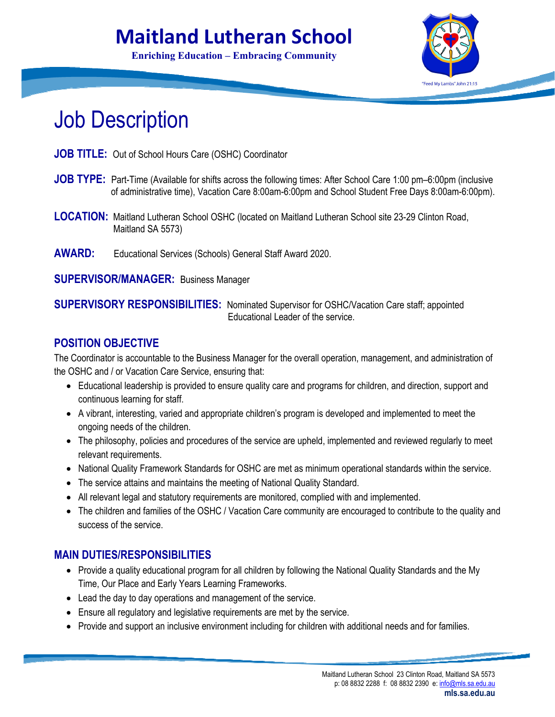# **Maitland Lutheran School**

**Enriching Education – Embracing Community**



# Job Description

- **JOB TITLE:** Out of School Hours Care (OSHC) Coordinator
- **JOB TYPE:** Part-Time (Available for shifts across the following times: After School Care 1:00 pm–6:00pm (inclusive of administrative time), Vacation Care 8:00am-6:00pm and School Student Free Days 8:00am-6:00pm).
- **LOCATION:** Maitland Lutheran School OSHC (located on Maitland Lutheran School site 23-29 Clinton Road, Maitland SA 5573)
- **AWARD:** Educational Services (Schools) General Staff Award 2020.

**SUPERVISOR/MANAGER:** Business Manager

**SUPERVISORY RESPONSIBILITIES:** Nominated Supervisor for OSHC/Vacation Care staff; appointed Educational Leader of the service.

#### **POSITION OBJECTIVE**

The Coordinator is accountable to the Business Manager for the overall operation, management, and administration of the OSHC and / or Vacation Care Service, ensuring that:

- Educational leadership is provided to ensure quality care and programs for children, and direction, support and continuous learning for staff.
- A vibrant, interesting, varied and appropriate children's program is developed and implemented to meet the ongoing needs of the children.
- The philosophy, policies and procedures of the service are upheld, implemented and reviewed regularly to meet relevant requirements.
- National Quality Framework Standards for OSHC are met as minimum operational standards within the service.
- The service attains and maintains the meeting of National Quality Standard.
- All relevant legal and statutory requirements are monitored, complied with and implemented.
- The children and families of the OSHC / Vacation Care community are encouraged to contribute to the quality and success of the service.

#### **MAIN DUTIES/RESPONSIBILITIES**

- Provide a quality educational program for all children by following the National Quality Standards and the My Time, Our Place and Early Years Learning Frameworks.
- Lead the day to day operations and management of the service.
- Ensure all regulatory and legislative requirements are met by the service.
- Provide and support an inclusive environment including for children with additional needs and for families.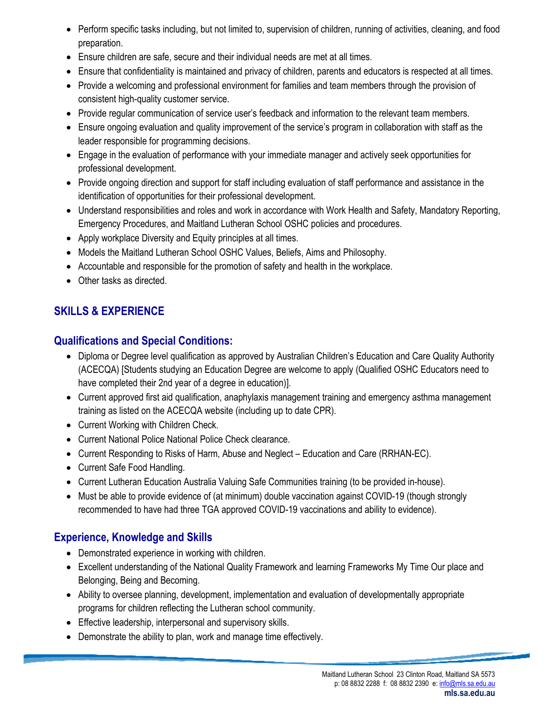- Perform specific tasks including, but not limited to, supervision of children, running of activities, cleaning, and food preparation.
- Ensure children are safe, secure and their individual needs are met at all times.
- Ensure that confidentiality is maintained and privacy of children, parents and educators is respected at all times.
- Provide a welcoming and professional environment for families and team members through the provision of consistent high-quality customer service.
- Provide regular communication of service user's feedback and information to the relevant team members.
- Ensure ongoing evaluation and quality improvement of the service's program in collaboration with staff as the leader responsible for programming decisions.
- Engage in the evaluation of performance with your immediate manager and actively seek opportunities for professional development.
- Provide ongoing direction and support for staff including evaluation of staff performance and assistance in the identification of opportunities for their professional development.
- Understand responsibilities and roles and work in accordance with Work Health and Safety, Mandatory Reporting, Emergency Procedures, and Maitland Lutheran School OSHC policies and procedures.
- Apply workplace Diversity and Equity principles at all times.
- Models the Maitland Lutheran School OSHC Values, Beliefs, Aims and Philosophy.
- Accountable and responsible for the promotion of safety and health in the workplace.
- Other tasks as directed.

## **SKILLS & EXPERIENCE**

#### **Qualifications and Special Conditions:**

- Diploma or Degree level qualification as approved by Australian Children's Education and Care Quality Authority (ACECQA) [Students studying an Education Degree are welcome to apply (Qualified OSHC Educators need to have completed their 2nd year of a degree in education)].
- Current approved first aid qualification, anaphylaxis management training and emergency asthma management training as listed on the ACECQA website (including up to date CPR).
- Current Working with Children Check.
- Current National Police National Police Check clearance.
- Current Responding to Risks of Harm, Abuse and Neglect Education and Care (RRHAN-EC).
- Current Safe Food Handling.
- Current Lutheran Education Australia Valuing Safe Communities training (to be provided in-house).
- Must be able to provide evidence of (at minimum) double vaccination against COVID-19 (though strongly recommended to have had three TGA approved COVID-19 vaccinations and ability to evidence).

## **Experience, Knowledge and Skills**

- Demonstrated experience in working with children.
- Excellent understanding of the National Quality Framework and learning Frameworks My Time Our place and Belonging, Being and Becoming.
- Ability to oversee planning, development, implementation and evaluation of developmentally appropriate programs for children reflecting the Lutheran school community.
- **Effective leadership, interpersonal and supervisory skills.**
- Demonstrate the ability to plan, work and manage time effectively.